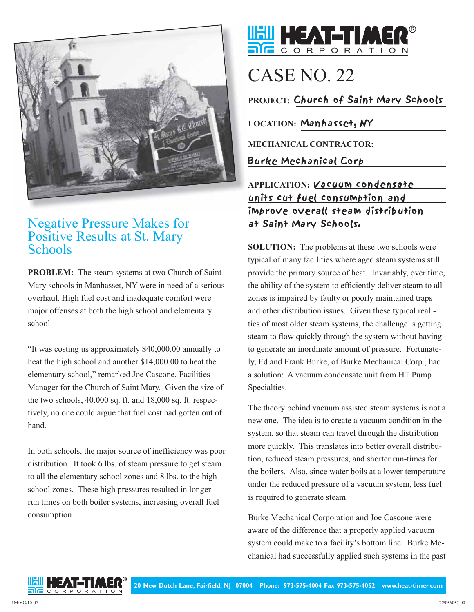

## Negative Pressure Makes for Positive Results at St. Mary **Schools**

**PROBLEM:** The steam systems at two Church of Saint Mary schools in Manhasset, NY were in need of a serious overhaul. High fuel cost and inadequate comfort were major offenses at both the high school and elementary school.

"It was costing us approximately \$40,000.00 annually to heat the high school and another \$14,000.00 to heat the elementary school," remarked Joe Cascone, Facilities Manager for the Church of Saint Mary. Given the size of the two schools, 40,000 sq. ft. and 18,000 sq. ft. respectively, no one could argue that fuel cost had gotten out of hand.

In both schools, the major source of inefficiency was poor distribution. It took 6 lbs. of steam pressure to get steam to all the elementary school zones and 8 lbs. to the high school zones. These high pressures resulted in longer run times on both boiler systems, increasing overall fuel consumption.



## CASE NO. 22

**PROJECT:** Church of Saint Mary Schools

**LOCATION:** Manhasset, NY

**MECHANICAL CONTRACTOR:**

Burke Mechanical Corp

**APPLICATION:** Vacuum condensate units cut fuel consumption and improve overall steam distribution at Saint Mary Schools.

**SOLUTION:** The problems at these two schools were typical of many facilities where aged steam systems still provide the primary source of heat. Invariably, over time, the ability of the system to efficiently deliver steam to all zones is impaired by faulty or poorly maintained traps and other distribution issues. Given these typical realities of most older steam systems, the challenge is getting steam to flow quickly through the system without having to generate an inordinate amount of pressure. Fortunately, Ed and Frank Burke, of Burke Mechanical Corp., had a solution: A vacuum condensate unit from HT Pump Specialties.

The theory behind vacuum assisted steam systems is not a new one. The idea is to create a vacuum condition in the system, so that steam can travel through the distribution more quickly. This translates into better overall distribution, reduced steam pressures, and shorter run-times for the boilers. Also, since water boils at a lower temperature under the reduced pressure of a vacuum system, less fuel is required to generate steam.

Burke Mechanical Corporation and Joe Cascone were aware of the difference that a properly applied vacuum system could make to a facility's bottom line. Burke Mechanical had successfully applied such systems in the past